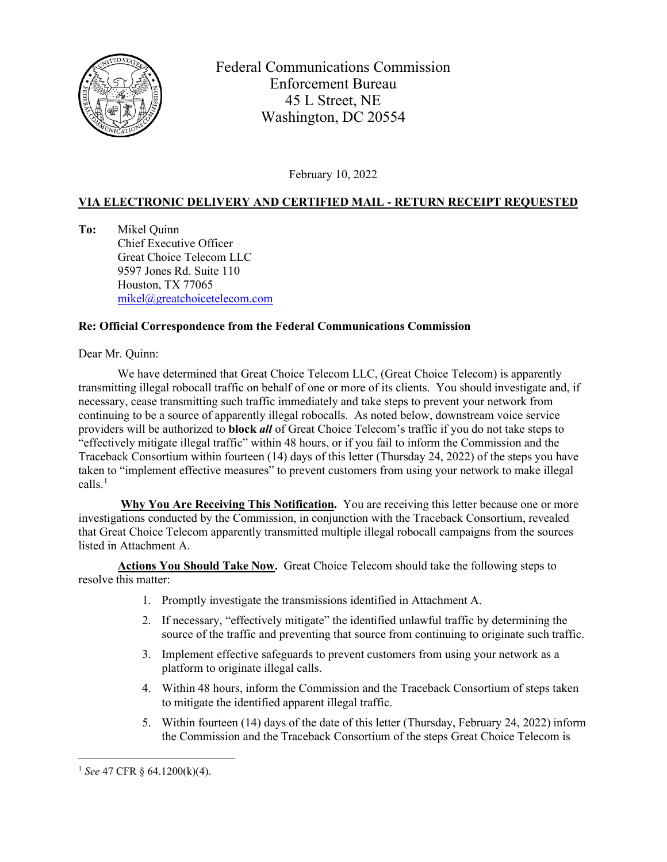

Federal Communications Commission Enforcement Bureau 45 L Street, NE Washington, DC 20554

February 10, 2022

## **VIA ELECTRONIC DELIVERY AND CERTIFIED MAIL - RETURN RECEIPT REQUESTED**

**To:** Mikel Quinn Chief Executive Officer Great Choice Telecom LLC 9597 Jones Rd. Suite 110 Houston, TX 77065 [mikel@greatchoicetelecom.com](about:blank)

## **Re: Official Correspondence from the Federal Communications Commission**

Dear Mr. Quinn:

We have determined that Great Choice Telecom LLC, (Great Choice Telecom) is apparently transmitting illegal robocall traffic on behalf of one or more of its clients. You should investigate and, if necessary, cease transmitting such traffic immediately and take steps to prevent your network from continuing to be a source of apparently illegal robocalls. As noted below, downstream voice service providers will be authorized to **block** *all* of Great Choice Telecom's traffic if you do not take steps to "effectively mitigate illegal traffic" within 48 hours, or if you fail to inform the Commission and the Traceback Consortium within fourteen (14) days of this letter (Thursday 24, 2022) of the steps you have taken to "implement effective measures" to prevent customers from using your network to make illegal  $\text{calls.}^1$ 

**Why You Are Receiving This Notification.** You are receiving this letter because one or more investigations conducted by the Commission, in conjunction with the Traceback Consortium, revealed that Great Choice Telecom apparently transmitted multiple illegal robocall campaigns from the sources listed in Attachment A.

**Actions You Should Take Now.** Great Choice Telecom should take the following steps to resolve this matter:

- 1. Promptly investigate the transmissions identified in Attachment A.
- 2. If necessary, "effectively mitigate" the identified unlawful traffic by determining the source of the traffic and preventing that source from continuing to originate such traffic.
- 3. Implement effective safeguards to prevent customers from using your network as a platform to originate illegal calls.
- 4. Within 48 hours, inform the Commission and the Traceback Consortium of steps taken to mitigate the identified apparent illegal traffic.
- 5. Within fourteen (14) days of the date of this letter (Thursday, February 24, 2022) inform the Commission and the Traceback Consortium of the steps Great Choice Telecom is

<span id="page-0-0"></span><sup>1</sup> *See* 47 CFR § 64.1200(k)(4).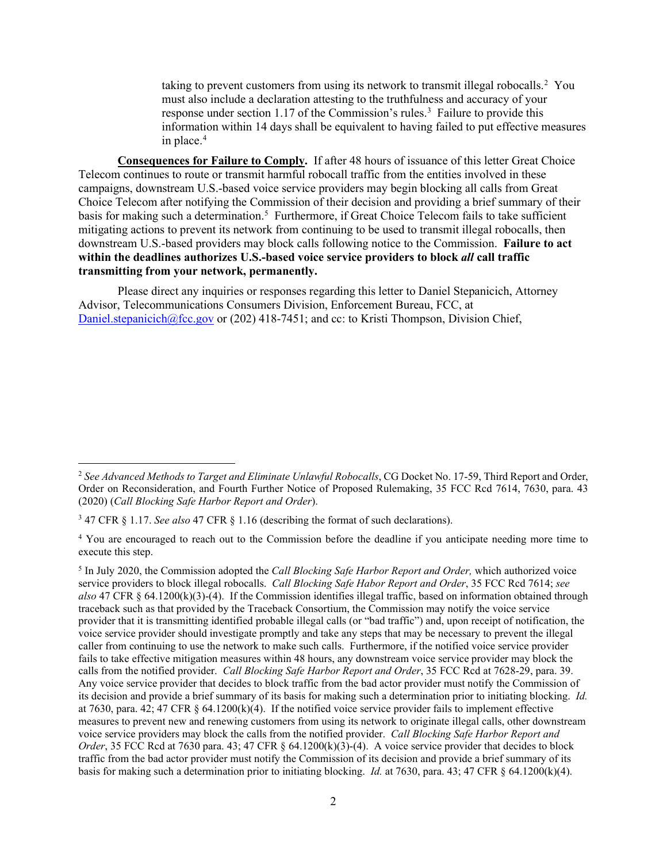taking to prevent customers from using its network to transmit illegal robocalls.<sup>[2](#page-1-0)</sup> You must also include a declaration attesting to the truthfulness and accuracy of your response under section 1.17 of the Commission's rules.<sup>[3](#page-1-1)</sup> Failure to provide this information within 14 days shall be equivalent to having failed to put effective measures in place. $4$ 

**Consequences for Failure to Comply.** If after 48 hours of issuance of this letter Great Choice Telecom continues to route or transmit harmful robocall traffic from the entities involved in these campaigns, downstream U.S.-based voice service providers may begin blocking all calls from Great Choice Telecom after notifying the Commission of their decision and providing a brief summary of their basis for making such a determination.<sup>[5](#page-1-3)</sup> Furthermore, if Great Choice Telecom fails to take sufficient mitigating actions to prevent its network from continuing to be used to transmit illegal robocalls, then downstream U.S.-based providers may block calls following notice to the Commission. **Failure to act within the deadlines authorizes U.S.-based voice service providers to block** *all* **call traffic transmitting from your network, permanently.**

Please direct any inquiries or responses regarding this letter to Daniel Stepanicich, Attorney Advisor, Telecommunications Consumers Division, Enforcement Bureau, FCC, at [Daniel.stepanicich@fcc.gov](about:blank) or (202) 418-7451; and cc: to Kristi Thompson, Division Chief,

<span id="page-1-0"></span><sup>2</sup> *See Advanced Methods to Target and Eliminate Unlawful Robocalls*, CG Docket No. 17-59, Third Report and Order, Order on Reconsideration, and Fourth Further Notice of Proposed Rulemaking, 35 FCC Rcd 7614, 7630, para. 43 (2020) (*Call Blocking Safe Harbor Report and Order*).

<span id="page-1-1"></span><sup>3</sup> 47 CFR § 1.17. *See also* 47 CFR § 1.16 (describing the format of such declarations).

<span id="page-1-2"></span><sup>&</sup>lt;sup>4</sup> You are encouraged to reach out to the Commission before the deadline if you anticipate needing more time to execute this step.

<span id="page-1-3"></span><sup>5</sup> In July 2020, the Commission adopted the *Call Blocking Safe Harbor Report and Order,* which authorized voice service providers to block illegal robocalls. *Call Blocking Safe Habor Report and Order*, 35 FCC Rcd 7614; *see also* 47 CFR § 64.1200(k)(3)-(4). If the Commission identifies illegal traffic, based on information obtained through traceback such as that provided by the Traceback Consortium, the Commission may notify the voice service provider that it is transmitting identified probable illegal calls (or "bad traffic") and, upon receipt of notification, the voice service provider should investigate promptly and take any steps that may be necessary to prevent the illegal caller from continuing to use the network to make such calls. Furthermore, if the notified voice service provider fails to take effective mitigation measures within 48 hours, any downstream voice service provider may block the calls from the notified provider. *Call Blocking Safe Harbor Report and Order*, 35 FCC Rcd at 7628-29, para. 39. Any voice service provider that decides to block traffic from the bad actor provider must notify the Commission of its decision and provide a brief summary of its basis for making such a determination prior to initiating blocking. *Id.* at 7630, para. 42; 47 CFR § 64.1200(k)(4). If the notified voice service provider fails to implement effective measures to prevent new and renewing customers from using its network to originate illegal calls, other downstream voice service providers may block the calls from the notified provider. *Call Blocking Safe Harbor Report and Order*, 35 FCC Rcd at 7630 para. 43; 47 CFR  $\S$  64.1200(k)(3)-(4). A voice service provider that decides to block traffic from the bad actor provider must notify the Commission of its decision and provide a brief summary of its basis for making such a determination prior to initiating blocking. *Id.* at 7630, para. 43; 47 CFR § 64.1200(k)(4).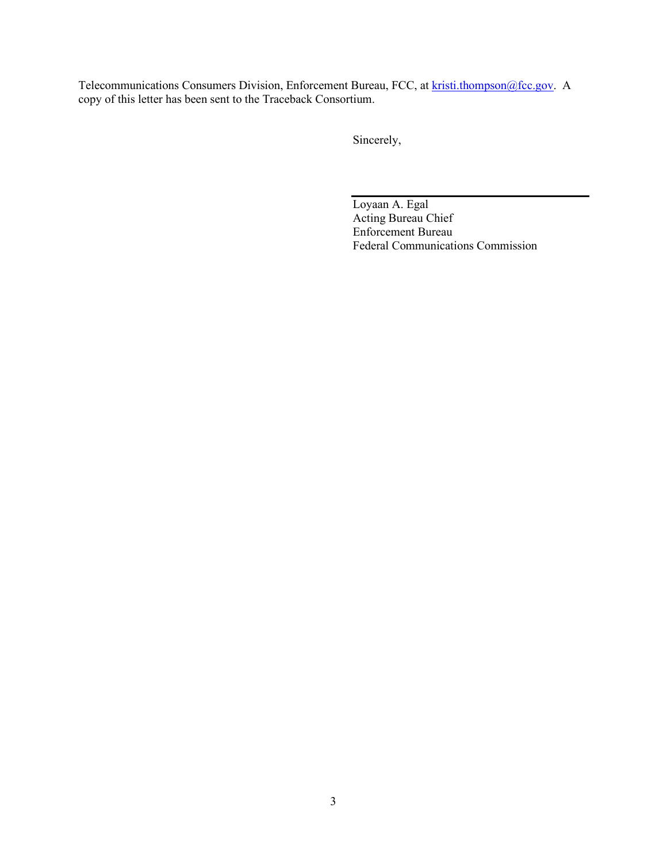Telecommunications Consumers Division, Enforcement Bureau, FCC, at [kristi.thompson@fcc.gov.](about:blank) A copy of this letter has been sent to the Traceback Consortium.

Sincerely,

Loyaan A. Egal Acting Bureau Chief Enforcement Bureau Federal Communications Commission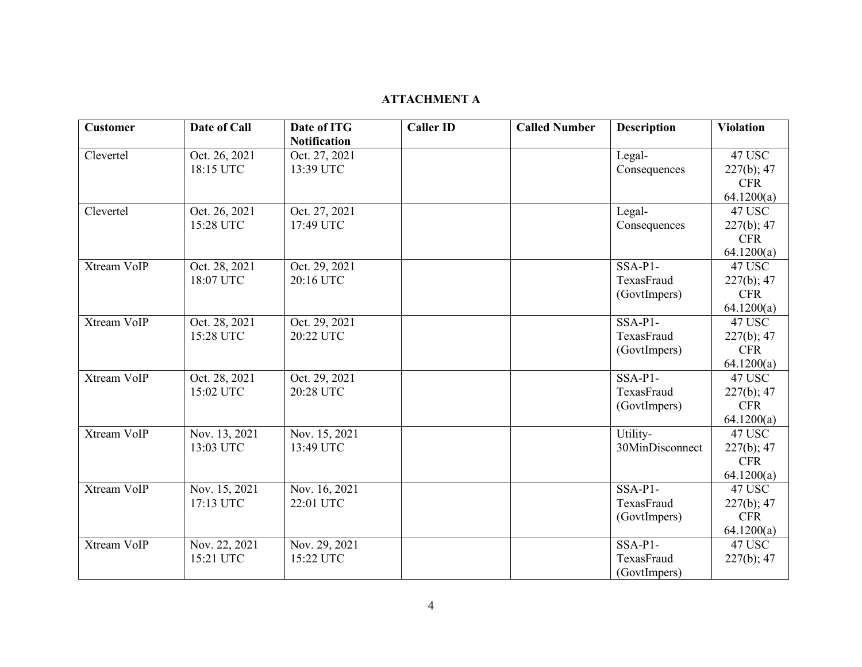## **ATTACHMENT A**

| <b>Customer</b> | Date of Call  | Date of ITG         | <b>Caller ID</b> | <b>Called Number</b> | <b>Description</b> | <b>Violation</b> |
|-----------------|---------------|---------------------|------------------|----------------------|--------------------|------------------|
|                 |               | <b>Notification</b> |                  |                      |                    |                  |
| Clevertel       | Oct. 26, 2021 | Oct. 27, 2021       |                  |                      | Legal-             | 47 USC           |
|                 | 18:15 UTC     | 13:39 UTC           |                  |                      | Consequences       | 227(b); 47       |
|                 |               |                     |                  |                      |                    | <b>CFR</b>       |
|                 |               |                     |                  |                      |                    | 64.1200(a)       |
| Clevertel       | Oct. 26, 2021 | Oct. 27, 2021       |                  |                      | Legal-             | 47 USC           |
|                 | 15:28 UTC     | 17:49 UTC           |                  |                      | Consequences       | 227(b); 47       |
|                 |               |                     |                  |                      |                    | <b>CFR</b>       |
|                 |               |                     |                  |                      |                    | 64.1200(a)       |
| Xtream VoIP     | Oct. 28, 2021 | Oct. 29, 2021       |                  |                      | $SSA-P1-$          | 47 USC           |
|                 | 18:07 UTC     | 20:16 UTC           |                  |                      | TexasFraud         | 227(b); 47       |
|                 |               |                     |                  |                      | (GovtImpers)       | <b>CFR</b>       |
|                 |               |                     |                  |                      |                    | 64.1200(a)       |
| Xtream VoIP     | Oct. 28, 2021 | Oct. 29, 2021       |                  |                      | $SSA-P1-$          | 47 USC           |
|                 | 15:28 UTC     | 20:22 UTC           |                  |                      | TexasFraud         | 227(b); 47       |
|                 |               |                     |                  |                      | (GovtImpers)       | <b>CFR</b>       |
|                 |               |                     |                  |                      |                    | 64.1200(a)       |
| Xtream VoIP     | Oct. 28, 2021 | Oct. 29, 2021       |                  |                      | SSA-P1-            | 47 USC           |
|                 | 15:02 UTC     | 20:28 UTC           |                  |                      | TexasFraud         | $227(b)$ ; 47    |
|                 |               |                     |                  |                      | (GovtImpers)       | <b>CFR</b>       |
|                 |               |                     |                  |                      |                    | 64.1200(a)       |
| Xtream VoIP     | Nov. 13, 2021 | Nov. 15, 2021       |                  |                      | Utility-           | 47 USC           |
|                 | 13:03 UTC     | 13:49 UTC           |                  |                      | 30MinDisconnect    | 227(b); 47       |
|                 |               |                     |                  |                      |                    | <b>CFR</b>       |
|                 |               |                     |                  |                      |                    | 64.1200(a)       |
| Xtream VoIP     | Nov. 15, 2021 | Nov. 16, 2021       |                  |                      | $SSA-P1-$          | 47 USC           |
|                 | 17:13 UTC     | 22:01 UTC           |                  |                      | TexasFraud         | 227(b); 47       |
|                 |               |                     |                  |                      | (GovtImpers)       | <b>CFR</b>       |
|                 |               |                     |                  |                      |                    | 64.1200(a)       |
| Xtream VoIP     | Nov. 22, 2021 | Nov. 29, 2021       |                  |                      | $SSA-P1-$          | 47 USC           |
|                 | 15:21 UTC     | 15:22 UTC           |                  |                      | TexasFraud         | 227(b); 47       |
|                 |               |                     |                  |                      | (GovtImpers)       |                  |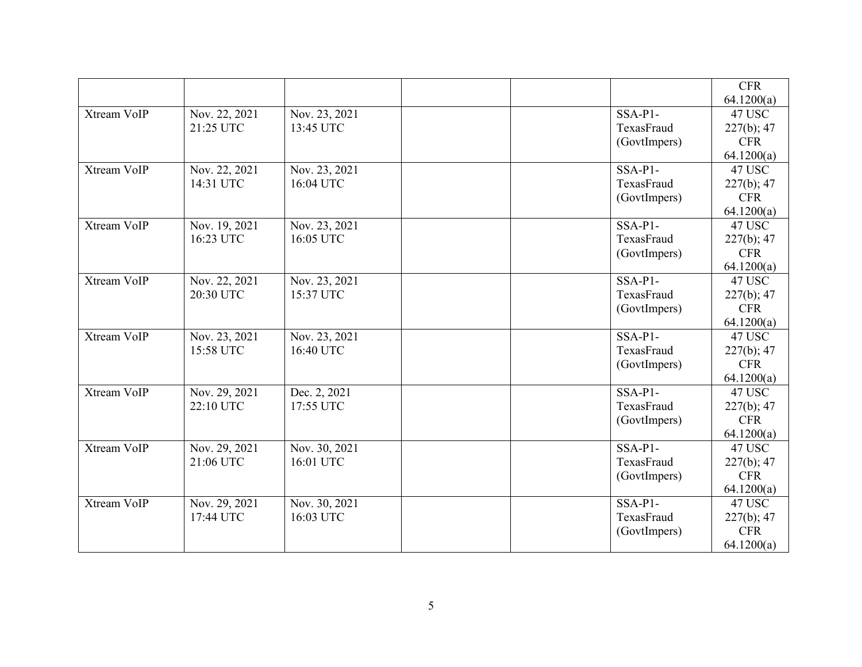|             |               |               |              | <b>CFR</b> |
|-------------|---------------|---------------|--------------|------------|
|             |               |               |              | 64.1200(a) |
| Xtream VoIP | Nov. 22, 2021 | Nov. 23, 2021 | $SSA-P1-$    | 47 USC     |
|             | 21:25 UTC     | 13:45 UTC     | TexasFraud   | 227(b); 47 |
|             |               |               | (GovtImpers) | <b>CFR</b> |
|             |               |               |              | 64.1200(a) |
| Xtream VoIP | Nov. 22, 2021 | Nov. 23, 2021 | $SSA-P1-$    | 47 USC     |
|             | 14:31 UTC     | 16:04 UTC     | TexasFraud   | 227(b); 47 |
|             |               |               | (GovtImpers) | <b>CFR</b> |
|             |               |               |              | 64.1200(a) |
| Xtream VoIP | Nov. 19, 2021 | Nov. 23, 2021 | $SSA-P1-$    | 47 USC     |
|             | 16:23 UTC     | 16:05 UTC     | TexasFraud   | 227(b); 47 |
|             |               |               | (GovtImpers) | <b>CFR</b> |
|             |               |               |              | 64.1200(a) |
| Xtream VoIP | Nov. 22, 2021 | Nov. 23, 2021 | SSA-P1-      | 47 USC     |
|             | 20:30 UTC     | 15:37 UTC     | TexasFraud   | 227(b); 47 |
|             |               |               | (GovtImpers) | <b>CFR</b> |
|             |               |               |              | 64.1200(a) |
| Xtream VoIP | Nov. 23, 2021 | Nov. 23, 2021 | $SSA-P1-$    | 47 USC     |
|             | 15:58 UTC     | 16:40 UTC     | TexasFraud   | 227(b); 47 |
|             |               |               | (GovtImpers) | <b>CFR</b> |
|             |               |               |              | 64.1200(a) |
| Xtream VoIP | Nov. 29, 2021 | Dec. 2, 2021  | $SSA-P1-$    | 47 USC     |
|             | 22:10 UTC     | 17:55 UTC     | TexasFraud   | 227(b); 47 |
|             |               |               | (GovtImpers) | <b>CFR</b> |
|             |               |               |              | 64.1200(a) |
| Xtream VoIP | Nov. 29, 2021 | Nov. 30, 2021 | $SSA-P1-$    | 47 USC     |
|             | 21:06 UTC     | 16:01 UTC     | TexasFraud   | 227(b); 47 |
|             |               |               | (GovtImpers) | <b>CFR</b> |
|             |               |               |              | 64.1200(a) |
| Xtream VoIP | Nov. 29, 2021 | Nov. 30, 2021 | $SSA-P1-$    | 47 USC     |
|             | 17:44 UTC     | 16:03 UTC     | TexasFraud   | 227(b); 47 |
|             |               |               | (GovtImpers) | <b>CFR</b> |
|             |               |               |              | 64.1200(a) |